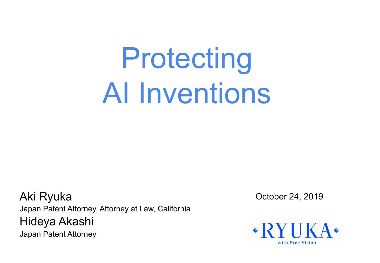# Protecting AI Inventions

Aki Ryuka October 24, 2019 Japan Patent Attorney, Attorney at Law, California Hideya Akashi Japan Patent Attorney

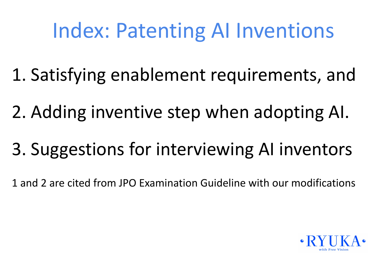## Index: Patenting AI Inventions

- 1. Satisfying enablement requirements, and
- 2. Adding inventive step when adopting AI.
- 3. Suggestions for interviewing AI inventors
- 1 and 2 are cited from JPO Examination Guideline with our modifications

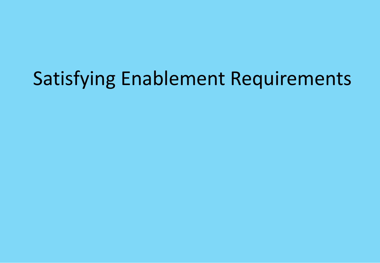## Satisfying Enablement Requirements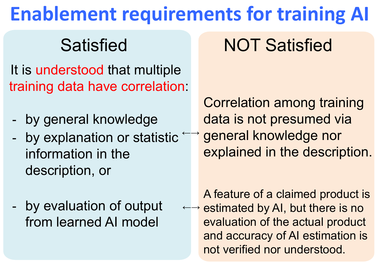## **Enablement requirements for training AI**

It is understood that multiple training data have correlation:

- by general knowledge
- **-** by explanation or statistic ←→ information in the description, or
- by evaluation of output from learned AI model

## Satisfied **NOT Satisfied**

Correlation among training data is not presumed via general knowledge nor explained in the description.

A feature of a claimed product is ←→ estimated by AI, but there is no evaluation of the actual product and accuracy of AI estimation is not verified nor understood.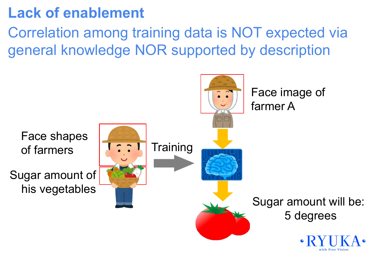#### **Lack of enablement**

Correlation among training data is NOT expected via general knowledge NOR supported by description

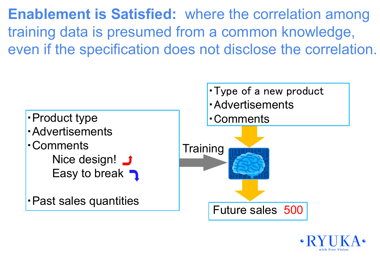**Enablement is Satisfied:** where the correlation among training data is presumed from a common knowledge, even if the specification does not disclose the correlation.



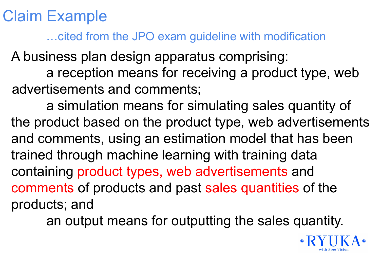Claim Example

…cited from the JPO exam guideline with modification

A business plan design apparatus comprising:

a reception means for receiving a product type, web advertisements and comments;

a simulation means for simulating sales quantity of the product based on the product type, web advertisements and comments, using an estimation model that has been trained through machine learning with training data containing product types, web advertisements and comments of products and past sales quantities of the products; and

an output means for outputting the sales quantity.

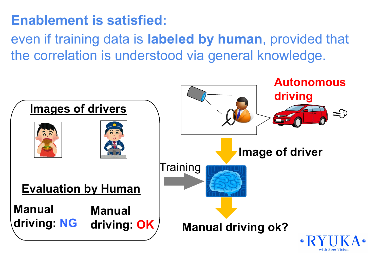#### **Enablement is satisfied:**

even if training data is **labeled by human**, provided that the correlation is understood via general knowledge.

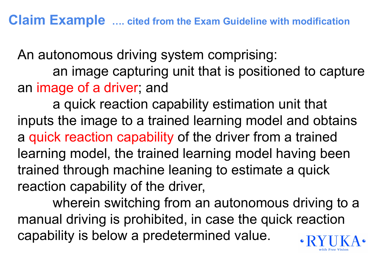An autonomous driving system comprising: an image capturing unit that is positioned to capture an image of a driver; and

a quick reaction capability estimation unit that inputs the image to a trained learning model and obtains a quick reaction capability of the driver from a trained learning model, the trained learning model having been trained through machine leaning to estimate a quick reaction capability of the driver,

wherein switching from an autonomous driving to a manual driving is prohibited, in case the quick reaction capability is below a predetermined value.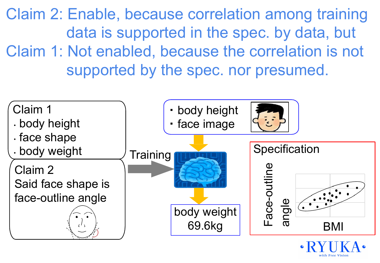Claim 2: Enable, because correlation among training data is supported in the spec. by data, but Claim 1: Not enabled, because the correlation is not supported by the spec. nor presumed.

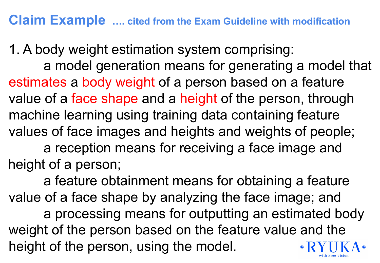#### **Claim Example …. cited from the Exam Guideline with modification**

1. A body weight estimation system comprising: a model generation means for generating a model that estimates a body weight of a person based on a feature value of a face shape and a height of the person, through machine learning using training data containing feature values of face images and heights and weights of people; a reception means for receiving a face image and height of a person;

a feature obtainment means for obtaining a feature value of a face shape by analyzing the face image; and a processing means for outputting an estimated body weight of the person based on the feature value and the height of the person, using the model.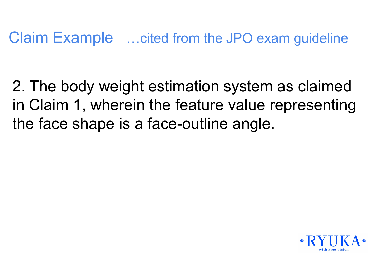Claim Example …cited from the JPO exam guideline

2. The body weight estimation system as claimed in Claim 1, wherein the feature value representing the face shape is a face-outline angle.

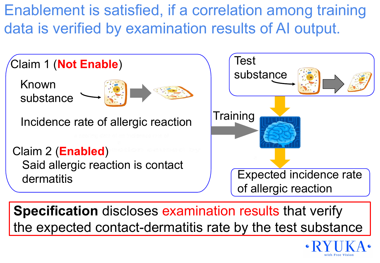Enablement is satisfied, if a correlation among training data is verified by examination results of AI output.



 **Specification** discloses examination results that verify the expected contact-dermatitis rate by the test substance

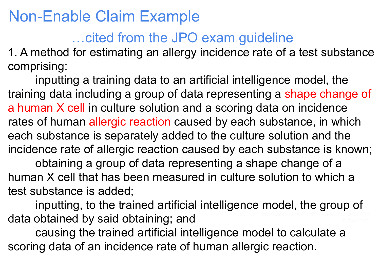#### Non-Enable Claim Example

#### …cited from the JPO exam guideline

1. A method for estimating an allergy incidence rate of a test substance comprising:

inputting a training data to an artificial intelligence model, the training data including a group of data representing a shape change of a human X cell in culture solution and a scoring data on incidence rates of human allergic reaction caused by each substance, in which each substance is separately added to the culture solution and the incidence rate of allergic reaction caused by each substance is known; obtaining a group of data representing a shape change of a human X cell that has been measured in culture solution to which a test substance is added;

inputting, to the trained artificial intelligence model, the group of data obtained by said obtaining; and

causing the trained artificial intelligence model to calculate a scoring data of an incidence rate of human allergic reaction.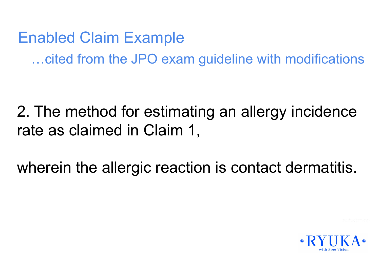Enabled Claim Example …cited from the JPO exam guideline with modifications

2. The method for estimating an allergy incidence rate as claimed in Claim 1,

wherein the allergic reaction is contact dermatitis.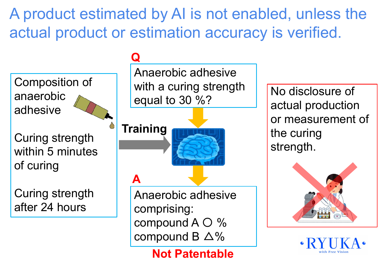A product estimated by AI is not enabled, unless the actual product or estimation accuracy is verified.



Curing strength within 5 minutes of curing

Curing strength after 24 hours

#### **Q**

Anaerobic adhesive with a curing strength equal to 30 %?

**A Training**

> Anaerobic adhesive comprising: compound A 〇 % compound B  $\triangle$ %

> > **Not Patentable**

No disclosure of actual production or measurement of the curing strength.

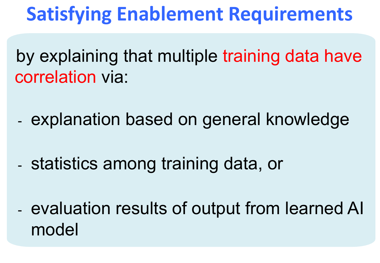## **Satisfying Enablement Requirements**

by explaining that multiple training data have correlation via:

- explanation based on general knowledge

- statistics among training data, or

- evaluation results of output from learned AI model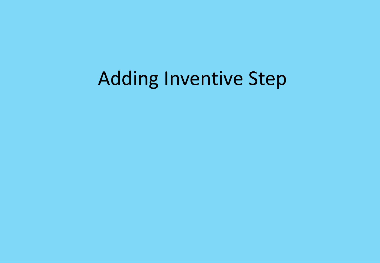## Adding Inventive Step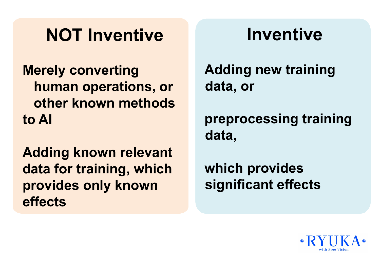## **NOT Inventive**

**Merely converting human operations, or other known methods to AI**

**Adding known relevant data for training, which provides only known effects**

## **Inventive**

**Adding new training data, or**

**preprocessing training data,** 

**which provides significant effects**

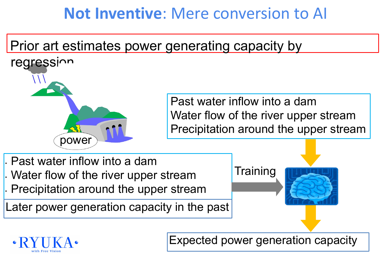#### **Not Inventive**: Mere conversion to AI

#### Prior art estimates power generating capacity by



 Past water inflow into a dam Water flow of the river upper stream Precipitation around the upper stream

• Past water inflow into a dam • Water flow of the river upper stream • Precipitation around the upper stream

Later power generation capacity in the past





Expected power generation capacity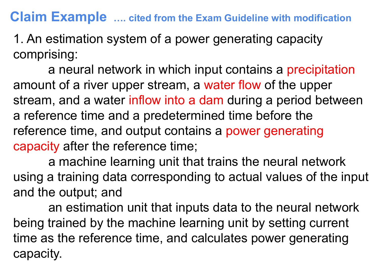#### **Claim Example …. cited from the Exam Guideline with modification**

1. An estimation system of a power generating capacity comprising:

a neural network in which input contains a precipitation amount of a river upper stream, a water flow of the upper stream, and a water inflow into a dam during a period between a reference time and a predetermined time before the reference time, and output contains a power generating capacity after the reference time;

a machine learning unit that trains the neural network using a training data corresponding to actual values of the input and the output; and

an estimation unit that inputs data to the neural network being trained by the machine learning unit by setting current time as the reference time, and calculates power generating capacity.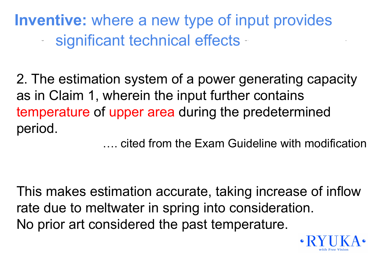**Inventive:** where a new type of input provides - significant technical effects -

2. The estimation system of a power generating capacity as in Claim 1, wherein the input further contains temperature of upper area during the predetermined period.

…. cited from the Exam Guideline with modification

This makes estimation accurate, taking increase of inflow rate due to meltwater in spring into consideration. No prior art considered the past temperature.

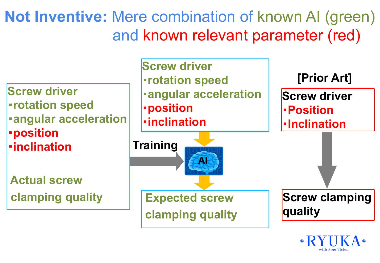**Not Inventive:** Mere combination of known AI (green) and known relevant parameter (red)

**Screw driver** ・**rotation speed** ・**angular acceleration** ・**position** ・**inclination**

 **Actual screw clamping quality**

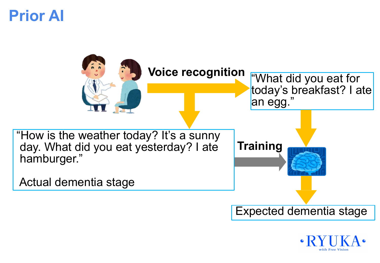#### **Prior AI**



![](_page_23_Picture_2.jpeg)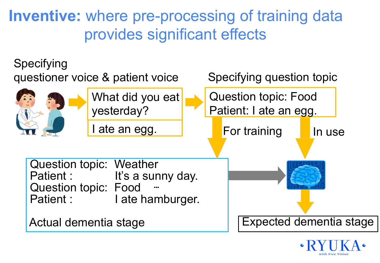**Inventive:** where pre-processing of training data provides significant effects

![](_page_24_Figure_1.jpeg)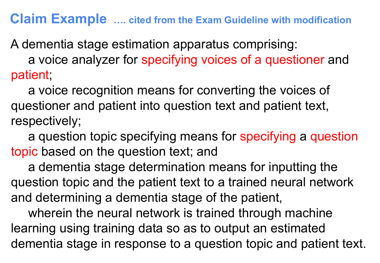#### **Claim Example …. cited from the Exam Guideline with modification**

A dementia stage estimation apparatus comprising:

 a voice analyzer for specifying voices of a questioner and patient;

 a voice recognition means for converting the voices of questioner and patient into question text and patient text, respectively;

 a question topic specifying means for specifying a question topic based on the question text; and

 a dementia stage determination means for inputting the question topic and the patient text to a trained neural network and determining a dementia stage of the patient,

wherein the neural network is trained through machine learning using training data so as to output an estimated dementia stage in response to a question topic and patient text.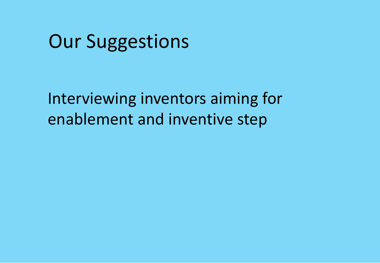### Our Suggestions

Interviewing inventors aiming for enablement and inventive step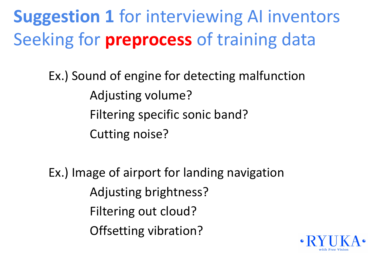**Suggestion 1** for interviewing AI inventors Seeking for **preprocess** of training data

> Ex.) Sound of engine for detecting malfunction Adjusting volume? Filtering specific sonic band? Cutting noise?

Ex.) Image of airport for landing navigation Adjusting brightness? Filtering out cloud? Offsetting vibration?

![](_page_27_Picture_3.jpeg)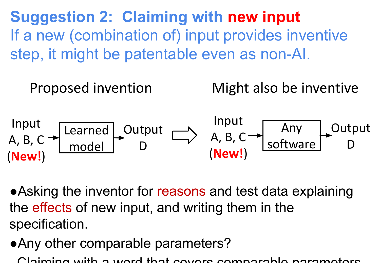**Suggestion 2: Claiming with new input** If a new (combination of) input provides inventive step, it might be patentable even as non-AI.

![](_page_28_Figure_1.jpeg)

●Asking the inventor for reasons and test data explaining the effects of new input, and writing them in the specification.

●Any other comparable parameters?

Claiming with a word that covers comparable parameters.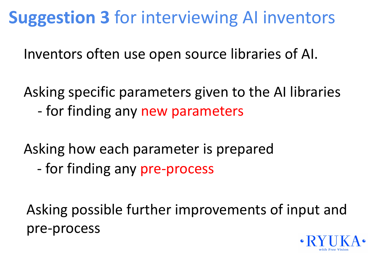## **Suggestion 3** for interviewing AI inventors

Inventors often use open source libraries of AI.

Asking specific parameters given to the AI libraries - for finding any new parameters

Asking how each parameter is prepared

- for finding any pre-process

Asking possible further improvements of input and pre-process

![](_page_29_Picture_6.jpeg)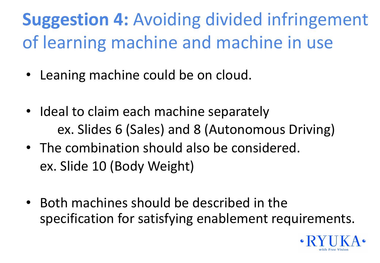## **Suggestion 4:** Avoiding divided infringement of learning machine and machine in use

- Leaning machine could be on cloud.
- Ideal to claim each machine separately ex. Slides 6 (Sales) and 8 (Autonomous Driving)
- The combination should also be considered. ex. Slide 10 (Body Weight)
- Both machines should be described in the specification for satisfying enablement requirements.

![](_page_30_Picture_5.jpeg)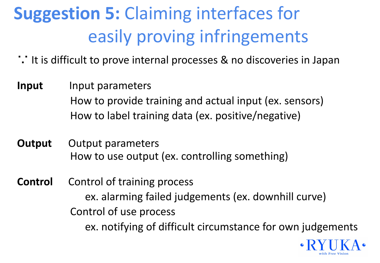## **Suggestion 5:** Claiming interfaces for easily proving infringements

- ∵ It is difficult to prove internal processes & no discoveries in Japan
- **Input** Input parameters How to provide training and actual input (ex. sensors) How to label training data (ex. positive/negative)
- **Output** Output parameters How to use output (ex. controlling something)
- **Control** Control of training process ex. alarming failed judgements (ex. downhill curve) Control of use process ex. notifying of difficult circumstance for own judgements

![](_page_31_Picture_5.jpeg)